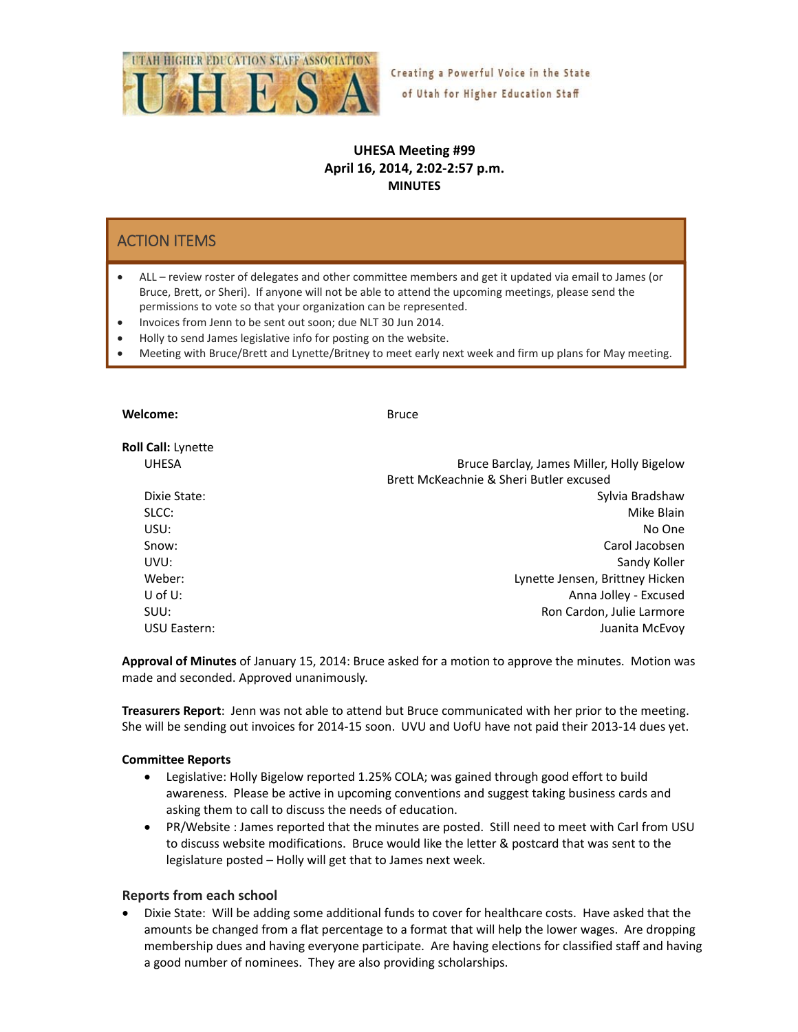

# **UHESA Meeting #99 April 16, 2014, 2:02‐2:57 p.m. MINUTES**

# ACTION ITEMS

- ALL review roster of delegates and other committee members and get it updated via email to James (or Bruce, Brett, or Sheri). If anyone will not be able to attend the upcoming meetings, please send the permissions to vote so that your organization can be represented.
- Invoices from Jenn to be sent out soon; due NLT 30 Jun 2014.
- Holly to send James legislative info for posting on the website.
- Meeting with Bruce/Brett and Lynette/Britney to meet early next week and firm up plans for May meeting.

| Welcome:                  | <b>Bruce</b>                               |
|---------------------------|--------------------------------------------|
| <b>Roll Call:</b> Lynette |                                            |
| <b>UHESA</b>              | Bruce Barclay, James Miller, Holly Bigelow |
|                           | Brett McKeachnie & Sheri Butler excused    |
| Dixie State:              | Sylvia Bradshaw                            |
| SLCC:                     | Mike Blain                                 |
| USU:                      | No One                                     |
| Snow:                     | Carol Jacobsen                             |
| UVU:                      | Sandy Koller                               |
| Weber:                    | Lynette Jensen, Brittney Hicken            |
| $U$ of $U$ :              | Anna Jolley - Excused                      |
| SUU:                      | Ron Cardon, Julie Larmore                  |
| USU Eastern:              | Juanita McEvoy                             |
|                           |                                            |

**Approval of Minutes** of January 15, 2014: Bruce asked for a motion to approve the minutes. Motion was made and seconded. Approved unanimously.

**Treasurers Report**: Jenn was not able to attend but Bruce communicated with her prior to the meeting. She will be sending out invoices for 2014‐15 soon. UVU and UofU have not paid their 2013‐14 dues yet.

#### **Committee Reports**

- Legislative: Holly Bigelow reported 1.25% COLA; was gained through good effort to build awareness. Please be active in upcoming conventions and suggest taking business cards and asking them to call to discuss the needs of education.
- PR/Website : James reported that the minutes are posted. Still need to meet with Carl from USU to discuss website modifications. Bruce would like the letter & postcard that was sent to the legislature posted – Holly will get that to James next week.

#### **Reports from each school**

• Dixie State: Will be adding some additional funds to cover for healthcare costs. Have asked that the amounts be changed from a flat percentage to a format that will help the lower wages. Are dropping membership dues and having everyone participate. Are having elections for classified staff and having a good number of nominees. They are also providing scholarships.